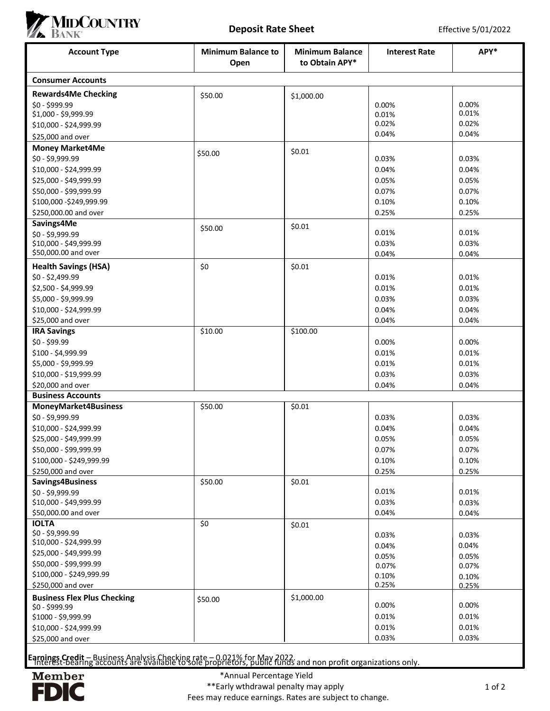

|                                                         | MIDCOUNTRY<br><b>Deposit Rate Sheet</b><br>Effective 5/01/2022 |                                          |                      |                |
|---------------------------------------------------------|----------------------------------------------------------------|------------------------------------------|----------------------|----------------|
| <b>Account Type</b>                                     | <b>Minimum Balance to</b><br>Open                              | <b>Minimum Balance</b><br>to Obtain APY* | <b>Interest Rate</b> | APY*           |
| <b>Consumer Accounts</b>                                |                                                                |                                          |                      |                |
| <b>Rewards4Me Checking</b>                              | \$50.00                                                        | \$1,000.00                               |                      |                |
| $$0 - $999.99$                                          |                                                                |                                          | 0.00%                | 0.00%<br>0.01% |
| \$1,000 - \$9,999.99<br>\$10,000 - \$24,999.99          |                                                                |                                          | 0.01%<br>0.02%       | 0.02%          |
| \$25,000 and over                                       |                                                                |                                          | 0.04%                | 0.04%          |
| <b>Money Market4Me</b>                                  |                                                                | \$0.01                                   |                      |                |
| \$0 - \$9,999.99                                        | \$50.00                                                        |                                          | 0.03%                | 0.03%          |
| \$10,000 - \$24,999.99                                  |                                                                |                                          | 0.04%                | 0.04%          |
| \$25,000 - \$49,999.99                                  |                                                                |                                          | 0.05%                | 0.05%          |
| \$50,000 - \$99,999.99                                  |                                                                |                                          | 0.07%                | 0.07%          |
| \$100,000 - \$249,999.99                                |                                                                |                                          | 0.10%                | 0.10%          |
| \$250,000.00 and over<br>Savings4Me                     |                                                                |                                          | 0.25%                | 0.25%          |
| \$0 - \$9,999.99                                        | \$50.00                                                        | \$0.01                                   | 0.01%                | 0.01%          |
| \$10,000 - \$49,999.99                                  |                                                                |                                          | 0.03%                | 0.03%          |
| \$50,000.00 and over                                    |                                                                |                                          | 0.04%                | 0.04%          |
| <b>Health Savings (HSA)</b>                             | \$0                                                            | \$0.01                                   |                      |                |
| \$0 - \$2,499.99                                        |                                                                |                                          | 0.01%                | 0.01%          |
| \$2,500 - \$4,999.99                                    |                                                                |                                          | 0.01%                | 0.01%          |
| \$5,000 - \$9,999.99<br>\$10,000 - \$24,999.99          |                                                                |                                          | 0.03%<br>0.04%       | 0.03%<br>0.04% |
| \$25,000 and over                                       |                                                                |                                          | 0.04%                | 0.04%          |
| <b>IRA Savings</b>                                      | \$10.00                                                        | \$100.00                                 |                      |                |
| \$0 - \$99.99                                           |                                                                |                                          | 0.00%                | 0.00%          |
| \$100 - \$4,999.99                                      |                                                                |                                          | 0.01%                | 0.01%          |
| \$5,000 - \$9,999.99                                    |                                                                |                                          | 0.01%                | 0.01%          |
| \$10,000 - \$19,999.99                                  |                                                                |                                          | 0.03%                | 0.03%          |
| \$20,000 and over                                       |                                                                |                                          | 0.04%                | 0.04%          |
| <b>Business Accounts</b><br><b>MoneyMarket4Business</b> | \$50.00                                                        | \$0.01                                   |                      |                |
| \$0 - \$9,999.99                                        |                                                                |                                          | 0.03%                | 0.03%          |
| \$10,000 - \$24,999.99                                  |                                                                |                                          | 0.04%                | 0.04%          |
| \$25,000 - \$49,999.99                                  |                                                                |                                          | 0.05%                | 0.05%          |
| \$50,000 - \$99,999.99                                  |                                                                |                                          | 0.07%                | 0.07%          |
| \$100,000 - \$249,999.99                                |                                                                |                                          | 0.10%                | 0.10%          |
| \$250,000 and over                                      |                                                                |                                          | 0.25%                | 0.25%          |
| Savings4Business                                        | \$50.00                                                        | \$0.01                                   | 0.01%                | 0.01%          |
| \$0 - \$9,999.99<br>\$10,000 - \$49,999.99              |                                                                |                                          | 0.03%                | 0.03%          |
| \$50,000.00 and over                                    |                                                                |                                          | 0.04%                | 0.04%          |
| <b>IOLTA</b>                                            | \$0                                                            | \$0.01                                   |                      |                |
| \$0 - \$9,999.99                                        |                                                                |                                          | 0.03%                | 0.03%          |
| \$10,000 - \$24,999.99                                  |                                                                |                                          | 0.04%                | 0.04%          |
| \$25,000 - \$49,999.99<br>\$50,000 - \$99,999.99        |                                                                |                                          | 0.05%                | 0.05%          |
| \$100,000 - \$249,999.99                                |                                                                |                                          | 0.07%<br>0.10%       | 0.07%          |
| \$250,000 and over                                      |                                                                |                                          | 0.25%                | 0.10%<br>0.25% |
| <b>Business Flex Plus Checking</b>                      | \$50.00                                                        | \$1,000.00                               |                      |                |
| \$0 - \$999.99                                          |                                                                |                                          | 0.00%                | 0.00%          |
| \$1000 - \$9,999.99                                     |                                                                |                                          | 0.01%                | 0.01%          |
| \$10,000 - \$24,999.99<br>\$25,000 and over             |                                                                |                                          | 0.01%<br>0.03%       | 0.01%<br>0.03% |
|                                                         |                                                                |                                          |                      |                |

Earnings Credit – Business Analysis Checking rate – 0.021% for May 2022.<br>Interest-bearing accounts are available to sole proprietors, public funds and non profit organizations only.